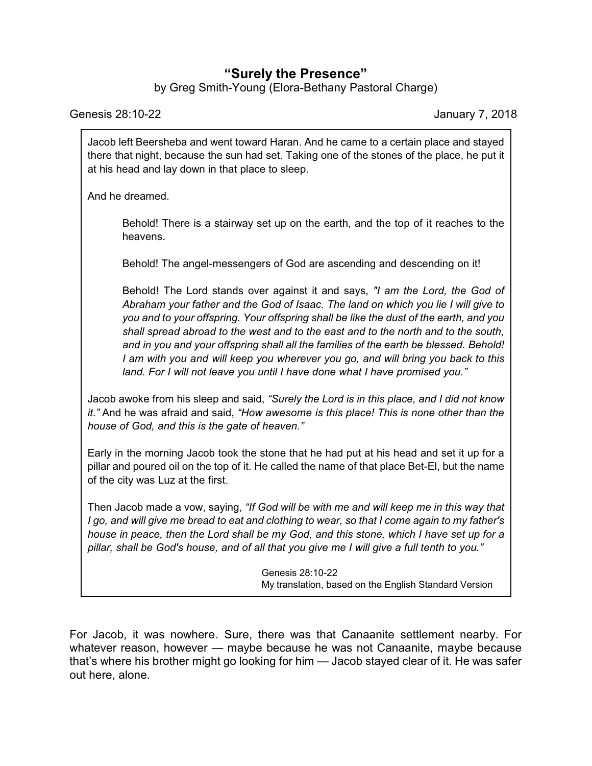## **"Surely the Presence"**

by Greg Smith-Young (Elora-Bethany Pastoral Charge)

Genesis 28:10-22 January 7, 2018

Jacob left Beersheba and went toward Haran. And he came to a certain place and stayed there that night, because the sun had set. Taking one of the stones of the place, he put it at his head and lay down in that place to sleep.

And he dreamed.

Behold! There is a stairway set up on the earth, and the top of it reaches to the heavens.

Behold! The angel-messengers of God are ascending and descending on it!

Behold! The Lord stands over against it and says, *"I am the Lord, the God of Abraham your father and the God of Isaac. The land on which you lie I will give to you and to your offspring. Your offspring shall be like the dust of the earth, and you shall spread abroad to the west and to the east and to the north and to the south, and in you and your offspring shall all the families of the earth be blessed. Behold! I am with you and will keep you wherever you go, and will bring you back to this land. For I will not leave you until I have done what I have promised you."*

Jacob awoke from his sleep and said, *"Surely the Lord is in this place, and I did not know it."* And he was afraid and said, *"How awesome is this place! This is none other than the house of God, and this is the gate of heaven."*

Early in the morning Jacob took the stone that he had put at his head and set it up for a pillar and poured oil on the top of it. He called the name of that place Bet-El, but the name of the city was Luz at the first.

Then Jacob made a vow, saying, *"If God will be with me and will keep me in this way that I go, and will give me bread to eat and clothing to wear, so that I come again to my father's house in peace, then the Lord shall be my God, and this stone, which I have set up for a pillar, shall be God's house, and of all that you give me I will give a full tenth to you."*

> Genesis 28:10-22 My translation, based on the English Standard Version

For Jacob, it was nowhere. Sure, there was that Canaanite settlement nearby. For whatever reason, however — maybe because he was not Canaanite, maybe because that's where his brother might go looking for him — Jacob stayed clear of it. He was safer out here, alone.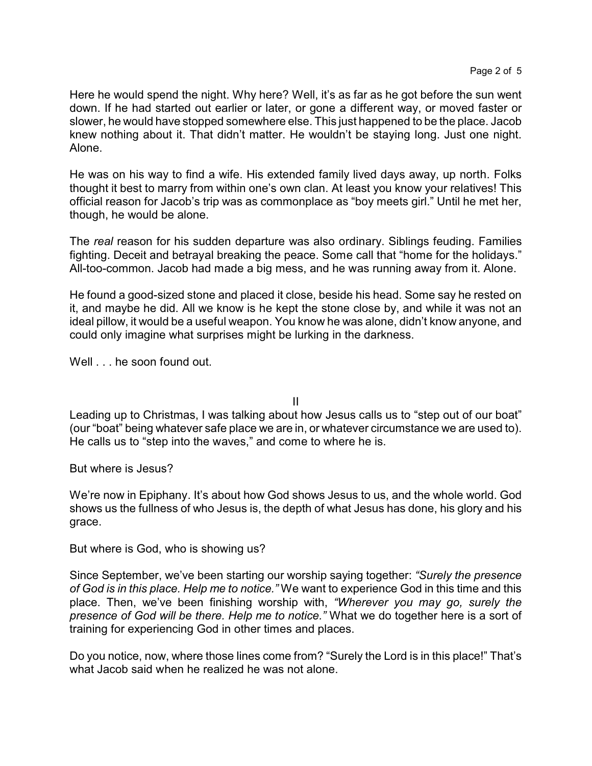Here he would spend the night. Why here? Well, it's as far as he got before the sun went down. If he had started out earlier or later, or gone a different way, or moved faster or slower, he would have stopped somewhere else. This just happened to be the place. Jacob knew nothing about it. That didn't matter. He wouldn't be staying long. Just one night. Alone.

He was on his way to find a wife. His extended family lived days away, up north. Folks thought it best to marry from within one's own clan. At least you know your relatives! This official reason for Jacob's trip was as commonplace as "boy meets girl." Until he met her, though, he would be alone.

The *real* reason for his sudden departure was also ordinary. Siblings feuding. Families fighting. Deceit and betrayal breaking the peace. Some call that "home for the holidays." All-too-common. Jacob had made a big mess, and he was running away from it. Alone.

He found a good-sized stone and placed it close, beside his head. Some say he rested on it, and maybe he did. All we know is he kept the stone close by, and while it was not an ideal pillow, it would be a useful weapon. You know he was alone, didn't know anyone, and could only imagine what surprises might be lurking in the darkness.

Well . . . he soon found out.

II

Leading up to Christmas, I was talking about how Jesus calls us to "step out of our boat" (our "boat" being whatever safe place we are in, or whatever circumstance we are used to). He calls us to "step into the waves," and come to where he is.

But where is Jesus?

We're now in Epiphany. It's about how God shows Jesus to us, and the whole world. God shows us the fullness of who Jesus is, the depth of what Jesus has done, his glory and his grace.

But where is God, who is showing us?

Since September, we've been starting our worship saying together: *"Surely the presence of God is in this place. Help me to notice."* We want to experience God in this time and this place. Then, we've been finishing worship with, *"Wherever you may go, surely the presence of God will be there. Help me to notice."* What we do together here is a sort of training for experiencing God in other times and places.

Do you notice, now, where those lines come from? "Surely the Lord is in this place!" That's what Jacob said when he realized he was not alone.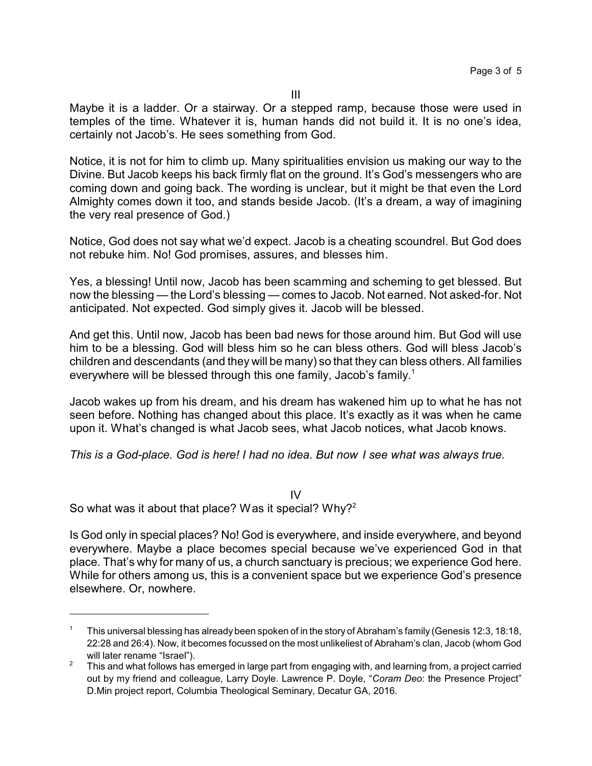Maybe it is a ladder. Or a stairway. Or a stepped ramp, because those were used in temples of the time. Whatever it is, human hands did not build it. It is no one's idea, certainly not Jacob's. He sees something from God.

Notice, it is not for him to climb up. Many spiritualities envision us making our way to the Divine. But Jacob keeps his back firmly flat on the ground. It's God's messengers who are coming down and going back. The wording is unclear, but it might be that even the Lord Almighty comes down it too, and stands beside Jacob. (It's a dream, a way of imagining the very real presence of God.)

Notice, God does not say what we'd expect. Jacob is a cheating scoundrel. But God does not rebuke him. No! God promises, assures, and blesses him.

Yes, a blessing! Until now, Jacob has been scamming and scheming to get blessed. But now the blessing — the Lord's blessing — comes to Jacob. Not earned. Not asked-for. Not anticipated. Not expected. God simply gives it. Jacob will be blessed.

And get this. Until now, Jacob has been bad news for those around him. But God will use him to be a blessing. God will bless him so he can bless others. God will bless Jacob's children and descendants (and they will be many) so that they can bless others. All families everywhere will be blessed through this one family, Jacob's family.<sup>1</sup>

Jacob wakes up from his dream, and his dream has wakened him up to what he has not seen before. Nothing has changed about this place. It's exactly as it was when he came upon it. What's changed is what Jacob sees, what Jacob notices, what Jacob knows.

*This is a God-place. God is here! I had no idea. But now I see what was always true.*

IV So what was it about that place? Was it special? Why?<sup>2</sup>

Is God only in special places? No! God is everywhere, and inside everywhere, and beyond everywhere. Maybe a place becomes special because we've experienced God in that place. That's why for many of us, a church sanctuary is precious; we experience God here. While for others among us, this is a convenient space but we experience God's presence elsewhere. Or, nowhere.

<sup>1</sup> This universal blessing has already been spoken of in the story of Abraham's family (Genesis 12:3, 18:18, 22:28 and 26:4). Now, it becomes focussed on the most unlikeliest of Abraham's clan, Jacob (whom God will later rename "Israel").

<sup>&</sup>lt;sup>2</sup> This and what follows has emerged in large part from engaging with, and learning from, a project carried out by my friend and colleague, Larry Doyle. Lawrence P. Doyle, "*Coram Deo*: the Presence Project" D.Min project report, Columbia Theological Seminary, Decatur GA, 2016.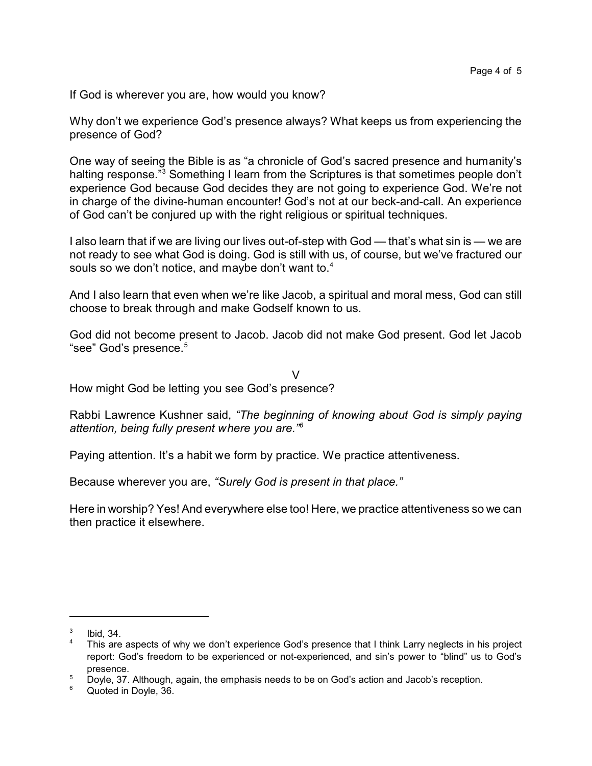If God is wherever you are, how would you know?

Why don't we experience God's presence always? What keeps us from experiencing the presence of God?

One way of seeing the Bible is as "a chronicle of God's sacred presence and humanity's halting response."<sup>3</sup> Something I learn from the Scriptures is that sometimes people don't experience God because God decides they are not going to experience God. We're not in charge of the divine-human encounter! God's not at our beck-and-call. An experience of God can't be conjured up with the right religious or spiritual techniques.

I also learn that if we are living our lives out-of-step with God — that's what sin is — we are not ready to see what God is doing. God is still with us, of course, but we've fractured our souls so we don't notice, and maybe don't want to.<sup>4</sup>

And I also learn that even when we're like Jacob, a spiritual and moral mess, God can still choose to break through and make Godself known to us.

God did not become present to Jacob. Jacob did not make God present. God let Jacob "see" God's presence.<sup>5</sup>

V How might God be letting you see God's presence?

Rabbi Lawrence Kushner said, *"The beginning of knowing about God is simply paying attention, being fully present where you are."<sup>6</sup>*

Paying attention. It's a habit we form by practice. We practice attentiveness.

Because wherever you are, *"Surely God is present in that place."*

Here in worship? Yes! And everywhere else too! Here, we practice attentiveness so we can then practice it elsewhere.

<sup>3</sup> Ibid, 34.

<sup>&</sup>lt;sup>4</sup> This are aspects of why we don't experience God's presence that I think Larry neglects in his project report: God's freedom to be experienced or not-experienced, and sin's power to "blind" us to God's presence.

 $5$  Doyle, 37. Although, again, the emphasis needs to be on God's action and Jacob's reception.

<sup>6</sup> Quoted in Doyle, 36.